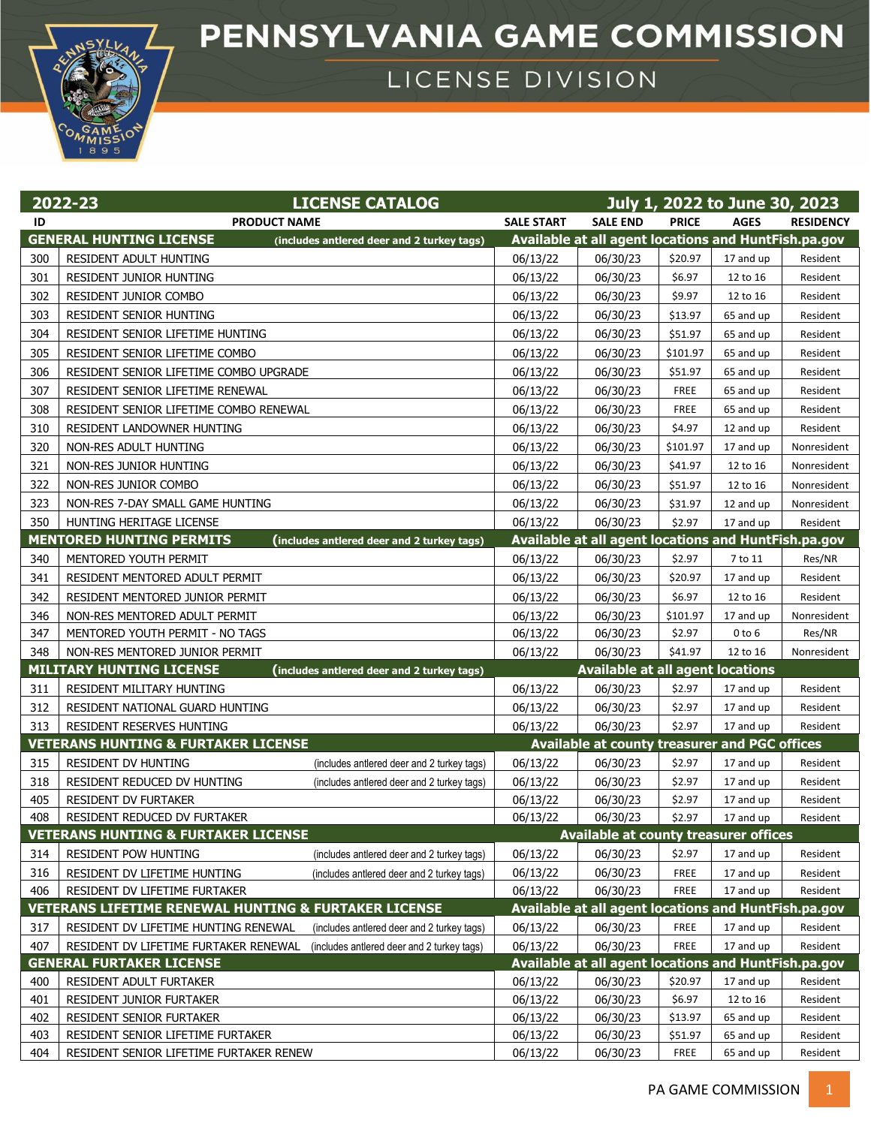## PENNSYLVANIA GAME COMMISSION



LICENSE DIVISION

|     | <b>LICENSE CATALOG</b><br>2022-23                                                   |                   |                                                      |              | July 1, 2022 to June 30, 2023 |                  |
|-----|-------------------------------------------------------------------------------------|-------------------|------------------------------------------------------|--------------|-------------------------------|------------------|
| ID  | <b>PRODUCT NAME</b>                                                                 | <b>SALE START</b> | <b>SALE END</b>                                      | <b>PRICE</b> | <b>AGES</b>                   | <b>RESIDENCY</b> |
|     | <b>GENERAL HUNTING LICENSE</b><br>(includes antlered deer and 2 turkey tags)        |                   | Available at all agent locations and HuntFish.pa.gov |              |                               |                  |
| 300 | RESIDENT ADULT HUNTING                                                              | 06/13/22          | 06/30/23                                             | \$20.97      | 17 and up                     | Resident         |
| 301 | RESIDENT JUNIOR HUNTING                                                             | 06/13/22          | 06/30/23                                             | \$6.97       | 12 to 16                      | Resident         |
| 302 | RESIDENT JUNIOR COMBO                                                               | 06/13/22          | 06/30/23                                             | \$9.97       | 12 to 16                      | Resident         |
| 303 | RESIDENT SENIOR HUNTING                                                             | 06/13/22          | 06/30/23                                             | \$13.97      | 65 and up                     | Resident         |
| 304 | RESIDENT SENIOR LIFETIME HUNTING                                                    | 06/13/22          | 06/30/23                                             | \$51.97      | 65 and up                     | Resident         |
| 305 | RESIDENT SENIOR LIFETIME COMBO                                                      | 06/13/22          | 06/30/23                                             | \$101.97     | 65 and up                     | Resident         |
| 306 | RESIDENT SENIOR LIFETIME COMBO UPGRADE                                              | 06/13/22          | 06/30/23                                             | \$51.97      | 65 and up                     | Resident         |
| 307 | RESIDENT SENIOR LIFETIME RENEWAL                                                    | 06/13/22          | 06/30/23                                             | <b>FREE</b>  | 65 and up                     | Resident         |
| 308 | RESIDENT SENIOR LIFETIME COMBO RENEWAL                                              | 06/13/22          | 06/30/23                                             | <b>FREE</b>  | 65 and up                     | Resident         |
| 310 | RESIDENT LANDOWNER HUNTING                                                          | 06/13/22          | 06/30/23                                             | \$4.97       | 12 and up                     | Resident         |
| 320 | NON-RES ADULT HUNTING                                                               | 06/13/22          | 06/30/23                                             | \$101.97     | 17 and up                     | Nonresident      |
| 321 | NON-RES JUNIOR HUNTING                                                              | 06/13/22          | 06/30/23                                             | \$41.97      | 12 to 16                      | Nonresident      |
| 322 | NON-RES JUNIOR COMBO                                                                | 06/13/22          | 06/30/23                                             | \$51.97      | 12 to 16                      | Nonresident      |
| 323 | NON-RES 7-DAY SMALL GAME HUNTING                                                    | 06/13/22          | 06/30/23                                             | \$31.97      | 12 and up                     | Nonresident      |
| 350 | HUNTING HERITAGE LICENSE                                                            | 06/13/22          | 06/30/23                                             | \$2.97       | 17 and up                     | Resident         |
|     | <b>MENTORED HUNTING PERMITS</b><br>(includes antlered deer and 2 turkey tags)       |                   | Available at all agent locations and HuntFish.pa.gov |              |                               |                  |
| 340 | MENTORED YOUTH PERMIT                                                               | 06/13/22          | 06/30/23                                             | \$2.97       | 7 to 11                       | Res/NR           |
| 341 | RESIDENT MENTORED ADULT PERMIT                                                      | 06/13/22          | 06/30/23                                             | \$20.97      | 17 and up                     | Resident         |
| 342 | RESIDENT MENTORED JUNIOR PERMIT                                                     | 06/13/22          | 06/30/23                                             | \$6.97       | 12 to 16                      | Resident         |
| 346 | NON-RES MENTORED ADULT PERMIT                                                       | 06/13/22          | 06/30/23                                             | \$101.97     | 17 and up                     | Nonresident      |
| 347 | MENTORED YOUTH PERMIT - NO TAGS                                                     | 06/13/22          | 06/30/23                                             | \$2.97       | $0$ to $6$                    | Res/NR           |
| 348 | NON-RES MENTORED JUNIOR PERMIT                                                      | 06/13/22          | 06/30/23                                             | \$41.97      | 12 to 16                      | Nonresident      |
|     | <b>MILITARY HUNTING LICENSE</b><br>(includes antlered deer and 2 turkey tags)       |                   | <b>Available at all agent locations</b>              |              |                               |                  |
| 311 | RESIDENT MILITARY HUNTING                                                           | 06/13/22          | 06/30/23                                             | \$2.97       | 17 and up                     | Resident         |
| 312 | RESIDENT NATIONAL GUARD HUNTING                                                     | 06/13/22          | 06/30/23                                             | \$2.97       | 17 and up                     | Resident         |
| 313 | RESIDENT RESERVES HUNTING                                                           | 06/13/22          | 06/30/23                                             | \$2.97       | 17 and up                     | Resident         |
|     | <b>VETERANS HUNTING &amp; FURTAKER LICENSE</b>                                      |                   | Available at county treasurer and PGC offices        |              |                               |                  |
| 315 | <b>RESIDENT DV HUNTING</b><br>(includes antlered deer and 2 turkey tags)            | 06/13/22          | 06/30/23                                             | \$2.97       | 17 and up                     | Resident         |
| 318 | RESIDENT REDUCED DV HUNTING<br>(includes antlered deer and 2 turkey tags)           | 06/13/22          | 06/30/23                                             | \$2.97       | 17 and up                     | Resident         |
| 405 | RESIDENT DV FURTAKER                                                                | 06/13/22          | 06/30/23                                             | \$2.97       | 17 and up                     | Resident         |
| 408 | RESIDENT REDUCED DV FURTAKER                                                        | 06/13/22          | 06/30/23                                             | \$2.97       | 17 and up                     | Resident         |
|     | <b>VETERANS HUNTING &amp; FURTAKER LICENSE</b>                                      |                   | <b>Available at county treasurer offices</b>         |              |                               |                  |
| 314 | <b>RESIDENT POW HUNTING</b><br>(includes antlered deer and 2 turkey tags)           | 06/13/22          | 06/30/23                                             | \$2.97       | 17 and up                     | Resident         |
| 316 | RESIDENT DV LIFETIME HUNTING<br>(includes antlered deer and 2 turkey tags)          | 06/13/22          | 06/30/23                                             | <b>FREE</b>  | 17 and up                     | Resident         |
| 406 | RESIDENT DV LIFETIME FURTAKER                                                       | 06/13/22          | 06/30/23                                             | FREE         | 17 and up                     | Resident         |
|     | <b>VETERANS LIFETIME RENEWAL HUNTING &amp; FURTAKER LICENSE</b>                     |                   | Available at all agent locations and HuntFish.pa.gov |              |                               |                  |
| 317 | RESIDENT DV LIFETIME HUNTING RENEWAL<br>(includes antlered deer and 2 turkey tags)  | 06/13/22          | 06/30/23                                             | FREE         | 17 and up                     | Resident         |
| 407 | RESIDENT DV LIFETIME FURTAKER RENEWAL<br>(includes antlered deer and 2 turkey tags) | 06/13/22          | 06/30/23                                             | FREE         | 17 and up                     | Resident         |
|     | <b>GENERAL FURTAKER LICENSE</b>                                                     |                   | Available at all agent locations and HuntFish.pa.gov |              |                               |                  |
| 400 | RESIDENT ADULT FURTAKER                                                             | 06/13/22          | 06/30/23                                             | \$20.97      | 17 and up                     | Resident         |
| 401 | RESIDENT JUNIOR FURTAKER                                                            | 06/13/22          | 06/30/23                                             | \$6.97       | 12 to 16                      | Resident         |
| 402 | RESIDENT SENIOR FURTAKER                                                            | 06/13/22          | 06/30/23                                             | \$13.97      | 65 and up                     | Resident         |
| 403 | RESIDENT SENIOR LIFETIME FURTAKER                                                   | 06/13/22          | 06/30/23                                             | \$51.97      | 65 and up                     | Resident         |
| 404 | RESIDENT SENIOR LIFETIME FURTAKER RENEW                                             | 06/13/22          | 06/30/23                                             | <b>FREE</b>  | 65 and up                     | Resident         |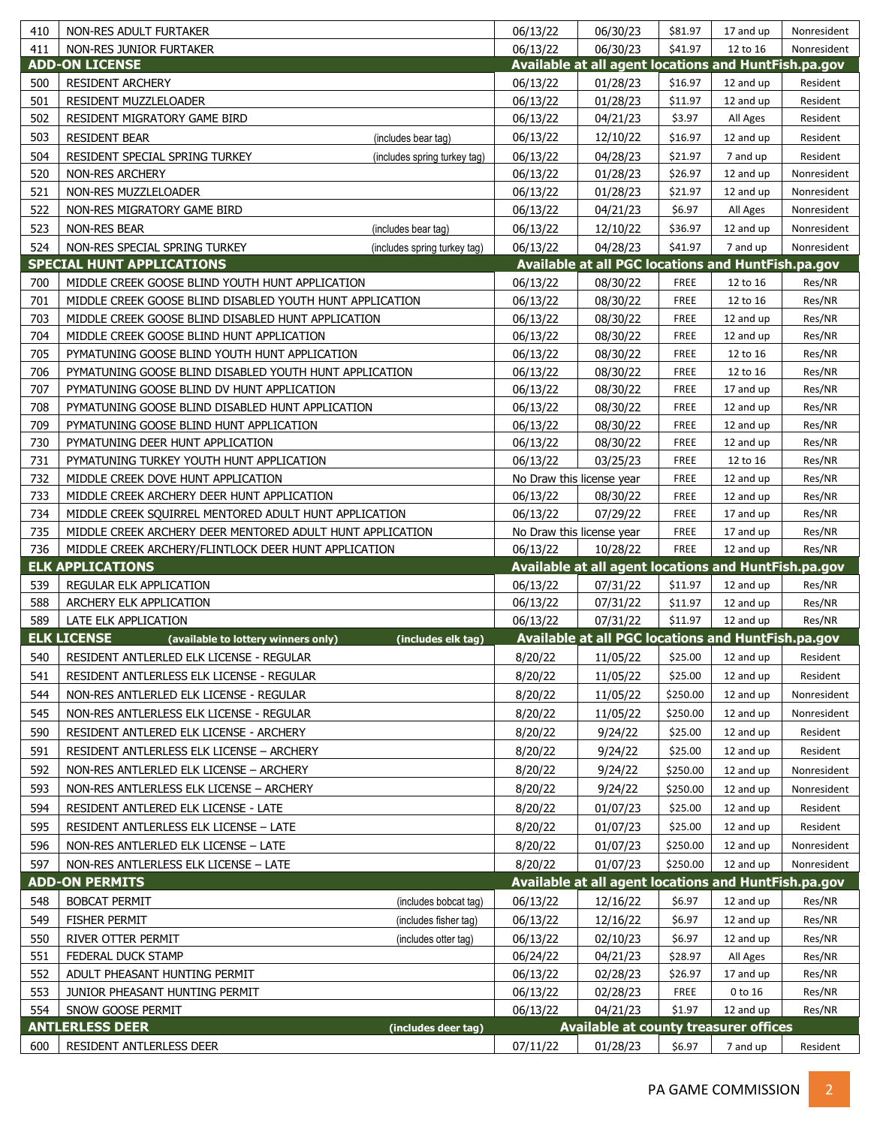| 411<br>06/13/22<br>06/30/23<br>\$41.97<br>NON-RES JUNIOR FURTAKER<br>12 to 16<br>Available at all agent locations and HuntFish.pa.gov<br><b>ADD-ON LICENSE</b><br><b>RESIDENT ARCHERY</b><br>06/13/22<br>01/28/23<br>\$16.97<br>500<br>12 and up<br>Resident<br>501<br>06/13/22<br>RESIDENT MUZZLELOADER<br>01/28/23<br>\$11.97<br>12 and up<br>Resident<br>502<br>\$3.97<br>All Ages<br>Resident<br>RESIDENT MIGRATORY GAME BIRD<br>06/13/22<br>04/21/23<br>503<br><b>RESIDENT BEAR</b><br>06/13/22<br>12/10/22<br>\$16.97<br>Resident<br>(includes bear tag)<br>12 and up<br>504<br>RESIDENT SPECIAL SPRING TURKEY<br>06/13/22<br>\$21.97<br>04/28/23<br>7 and up<br>Resident<br>(includes spring turkey tag)<br>520<br>\$26.97<br><b>NON-RES ARCHERY</b><br>06/13/22<br>01/28/23<br>12 and up<br>Nonresident<br>521<br>NON-RES MUZZLELOADER<br>06/13/22<br>01/28/23<br>\$21.97<br>12 and up<br>Nonresident<br>522<br>NON-RES MIGRATORY GAME BIRD<br>06/13/22<br>04/21/23<br>\$6.97<br>All Ages<br>Nonresident<br>523<br><b>NON-RES BEAR</b><br>06/13/22<br>12/10/22<br>\$36.97<br>12 and up<br>Nonresident<br>(includes bear tag)<br>524<br>NON-RES SPECIAL SPRING TURKEY<br>06/13/22<br>04/28/23<br>\$41.97<br>7 and up<br>(includes spring turkey tag)<br>Available at all PGC locations and HuntFish.pa.gov<br><b>SPECIAL HUNT APPLICATIONS</b><br>700<br>FREE<br>MIDDLE CREEK GOOSE BLIND YOUTH HUNT APPLICATION<br>06/13/22<br>08/30/22<br>12 to 16<br>Res/NR<br>701<br>MIDDLE CREEK GOOSE BLIND DISABLED YOUTH HUNT APPLICATION<br>06/13/22<br>08/30/22<br><b>FREE</b><br>12 to 16<br>Res/NR<br>703<br>MIDDLE CREEK GOOSE BLIND DISABLED HUNT APPLICATION<br>06/13/22<br>08/30/22<br><b>FREE</b><br>Res/NR<br>12 and up<br>704<br><b>FREE</b><br>Res/NR<br>MIDDLE CREEK GOOSE BLIND HUNT APPLICATION<br>06/13/22<br>08/30/22<br>12 and up<br>705<br>06/13/22<br>Res/NR<br>PYMATUNING GOOSE BLIND YOUTH HUNT APPLICATION<br>08/30/22<br><b>FREE</b><br>12 to 16<br>706<br>06/13/22<br>FREE<br>Res/NR<br>PYMATUNING GOOSE BLIND DISABLED YOUTH HUNT APPLICATION<br>08/30/22<br>12 to 16<br>707<br>06/13/22<br>Res/NR<br>PYMATUNING GOOSE BLIND DV HUNT APPLICATION<br>08/30/22<br><b>FREE</b><br>17 and up<br>708<br>Res/NR<br>PYMATUNING GOOSE BLIND DISABLED HUNT APPLICATION<br>06/13/22<br>08/30/22<br><b>FREE</b><br>12 and up<br>709<br>Res/NR<br>06/13/22<br><b>FREE</b><br>12 and up<br>PYMATUNING GOOSE BLIND HUNT APPLICATION<br>08/30/22<br>730<br>Res/NR<br>PYMATUNING DEER HUNT APPLICATION<br>06/13/22<br>08/30/22<br><b>FREE</b><br>12 and up<br>731<br>06/13/22<br>03/25/23<br>Res/NR<br>PYMATUNING TURKEY YOUTH HUNT APPLICATION<br><b>FREE</b><br>12 to 16<br>732<br>Res/NR<br>MIDDLE CREEK DOVE HUNT APPLICATION<br>No Draw this license year<br><b>FREE</b><br>12 and up<br>733<br>Res/NR<br>MIDDLE CREEK ARCHERY DEER HUNT APPLICATION<br>06/13/22<br>08/30/22<br><b>FREE</b><br>12 and up<br>734<br>MIDDLE CREEK SQUIRREL MENTORED ADULT HUNT APPLICATION<br>06/13/22<br>07/29/22<br><b>FREE</b><br>Res/NR<br>17 and up<br>735<br><b>FREE</b><br>Res/NR<br>MIDDLE CREEK ARCHERY DEER MENTORED ADULT HUNT APPLICATION<br>No Draw this license year<br>17 and up<br>736<br>10/28/22<br>FREE<br>Res/NR<br>MIDDLE CREEK ARCHERY/FLINTLOCK DEER HUNT APPLICATION<br>06/13/22<br>12 and up<br><b>ELK APPLICATIONS</b><br>Available at all agent locations and HuntFish.pa.gov<br>539<br>06/13/22<br>REGULAR ELK APPLICATION<br>07/31/22<br>\$11.97<br>12 and up<br>Res/NR<br>588<br>Res/NR<br>ARCHERY ELK APPLICATION<br>06/13/22<br>07/31/22<br>\$11.97<br>12 and up<br>\$11.97<br>589<br>LATE ELK APPLICATION<br>06/13/22<br>07/31/22<br>12 and up<br>Res/NR<br><b>ELK LICENSE</b><br><b>Available at all PGC locations and HuntFish.pa.gov</b><br>(available to lottery winners only)<br>(includes elk tag)<br>540<br>8/20/22<br>11/05/22<br>RESIDENT ANTLERLED ELK LICENSE - REGULAR<br>\$25.00<br>12 and up<br>Resident<br>RESIDENT ANTLERLESS ELK LICENSE - REGULAR<br>8/20/22<br>11/05/22<br>\$25.00<br>541<br>12 and up<br>Resident<br>8/20/22<br>\$250.00<br>12 and up<br>544<br>NON-RES ANTLERLED ELK LICENSE - REGULAR<br>11/05/22<br>Nonresident<br>545<br>8/20/22<br>NON-RES ANTLERLESS ELK LICENSE - REGULAR<br>11/05/22<br>\$250.00<br>12 and up<br>Nonresident<br>8/20/22<br>590<br>RESIDENT ANTLERED ELK LICENSE - ARCHERY<br>9/24/22<br>\$25.00<br>Resident<br>12 and up<br>591<br>8/20/22<br>9/24/22<br>RESIDENT ANTLERLESS ELK LICENSE - ARCHERY<br>\$25.00<br>12 and up<br>Resident<br>592<br>8/20/22<br>\$250.00<br>NON-RES ANTLERLED ELK LICENSE - ARCHERY<br>9/24/22<br>12 and up<br>Nonresident<br>593<br>NON-RES ANTLERLESS ELK LICENSE - ARCHERY<br>8/20/22<br>9/24/22<br>\$250.00<br>12 and up<br>Nonresident<br>8/20/22<br>\$25.00<br>594<br>RESIDENT ANTLERED ELK LICENSE - LATE<br>01/07/23<br>12 and up<br>Resident<br>595<br>01/07/23<br>RESIDENT ANTLERLESS ELK LICENSE - LATE<br>8/20/22<br>\$25.00<br>12 and up<br>Resident<br>596<br>8/20/22<br>01/07/23<br>\$250.00<br>NON-RES ANTLERLED ELK LICENSE - LATE<br>12 and up<br>Nonresident<br>\$250.00<br>12 and up<br>597<br>8/20/22<br>01/07/23<br>Nonresident<br>NON-RES ANTLERLESS ELK LICENSE - LATE<br>Available at all agent locations and HuntFish.pa.gov<br><b>ADD-ON PERMITS</b><br>06/13/22<br>12/16/22<br>\$6.97<br>548<br>12 and up<br>Res/NR<br><b>BOBCAT PERMIT</b><br>(includes bobcat tag)<br>549<br>06/13/22<br>12/16/22<br>\$6.97<br>Res/NR<br><b>FISHER PERMIT</b><br>12 and up<br>(includes fisher tag)<br>Res/NR<br>550<br>RIVER OTTER PERMIT<br>06/13/22<br>02/10/23<br>\$6.97<br>(includes otter tag)<br>12 and up<br>551<br>FEDERAL DUCK STAMP<br>06/24/22<br>04/21/23<br>\$28.97<br>Res/NR<br>All Ages<br>552<br>ADULT PHEASANT HUNTING PERMIT<br>06/13/22<br>02/28/23<br>\$26.97<br>Res/NR<br>17 and up<br>553<br>JUNIOR PHEASANT HUNTING PERMIT<br>06/13/22<br>02/28/23<br><b>FREE</b><br>0 to 16<br>Res/NR<br>\$1.97<br>554<br>SNOW GOOSE PERMIT<br>06/13/22<br>04/21/23<br>12 and up<br>Res/NR<br><b>ANTLERLESS DEER</b><br><b>Available at county treasurer offices</b><br>(includes deer tag)<br>07/11/22<br>RESIDENT ANTLERLESS DEER<br>01/28/23<br>\$6.97<br>600<br>7 and up<br>Resident | 410 | NON-RES ADULT FURTAKER | 06/13/22 | 06/30/23 | \$81.97 | 17 and up | Nonresident |
|--------------------------------------------------------------------------------------------------------------------------------------------------------------------------------------------------------------------------------------------------------------------------------------------------------------------------------------------------------------------------------------------------------------------------------------------------------------------------------------------------------------------------------------------------------------------------------------------------------------------------------------------------------------------------------------------------------------------------------------------------------------------------------------------------------------------------------------------------------------------------------------------------------------------------------------------------------------------------------------------------------------------------------------------------------------------------------------------------------------------------------------------------------------------------------------------------------------------------------------------------------------------------------------------------------------------------------------------------------------------------------------------------------------------------------------------------------------------------------------------------------------------------------------------------------------------------------------------------------------------------------------------------------------------------------------------------------------------------------------------------------------------------------------------------------------------------------------------------------------------------------------------------------------------------------------------------------------------------------------------------------------------------------------------------------------------------------------------------------------------------------------------------------------------------------------------------------------------------------------------------------------------------------------------------------------------------------------------------------------------------------------------------------------------------------------------------------------------------------------------------------------------------------------------------------------------------------------------------------------------------------------------------------------------------------------------------------------------------------------------------------------------------------------------------------------------------------------------------------------------------------------------------------------------------------------------------------------------------------------------------------------------------------------------------------------------------------------------------------------------------------------------------------------------------------------------------------------------------------------------------------------------------------------------------------------------------------------------------------------------------------------------------------------------------------------------------------------------------------------------------------------------------------------------------------------------------------------------------------------------------------------------------------------------------------------------------------------------------------------------------------------------------------------------------------------------------------------------------------------------------------------------------------------------------------------------------------------------------------------------------------------------------------------------------------------------------------------------------------------------------------------------------------------------------------------------------------------------------------------------------------------------------------------------------------------------------------------------------------------------------------------------------------------------------------------------------------------------------------------------------------------------------------------------------------------------------------------------------------------------------------------------------------------------------------------------------------------------------------------------------------------------------------------------------------------------------------------------------------------------------------------------------------------------------------------------------------------------------------------------------------------------------------------------------------------------------------------------------------------------------------------------------------------------------------------------------------------------------------------------------------------------------------------------------------------------------------------------------------------------------------------------------------------------------------------------------------------------------------------------------------------------------------------------------------------------------------------------------------------------------------------------------------------------------------------------------------------------------------------------------------------------------------------------------------------------------------------------------------------------------------------------------------------------------------------------------------------------------------------------------------------------------------------------------------------------------------------------------------------------------------------------------------------------------------------------------------------------------------------|-----|------------------------|----------|----------|---------|-----------|-------------|
|                                                                                                                                                                                                                                                                                                                                                                                                                                                                                                                                                                                                                                                                                                                                                                                                                                                                                                                                                                                                                                                                                                                                                                                                                                                                                                                                                                                                                                                                                                                                                                                                                                                                                                                                                                                                                                                                                                                                                                                                                                                                                                                                                                                                                                                                                                                                                                                                                                                                                                                                                                                                                                                                                                                                                                                                                                                                                                                                                                                                                                                                                                                                                                                                                                                                                                                                                                                                                                                                                                                                                                                                                                                                                                                                                                                                                                                                                                                                                                                                                                                                                                                                                                                                                                                                                                                                                                                                                                                                                                                                                                                                                                                                                                                                                                                                                                                                                                                                                                                                                                                                                                                                                                                                                                                                                                                                                                                                                                                                                                                                                                                                                                                                                                                                                                                                                                                                                                                                                                                                                                                                                                                                                                                                                                      |     |                        |          |          |         |           | Nonresident |
|                                                                                                                                                                                                                                                                                                                                                                                                                                                                                                                                                                                                                                                                                                                                                                                                                                                                                                                                                                                                                                                                                                                                                                                                                                                                                                                                                                                                                                                                                                                                                                                                                                                                                                                                                                                                                                                                                                                                                                                                                                                                                                                                                                                                                                                                                                                                                                                                                                                                                                                                                                                                                                                                                                                                                                                                                                                                                                                                                                                                                                                                                                                                                                                                                                                                                                                                                                                                                                                                                                                                                                                                                                                                                                                                                                                                                                                                                                                                                                                                                                                                                                                                                                                                                                                                                                                                                                                                                                                                                                                                                                                                                                                                                                                                                                                                                                                                                                                                                                                                                                                                                                                                                                                                                                                                                                                                                                                                                                                                                                                                                                                                                                                                                                                                                                                                                                                                                                                                                                                                                                                                                                                                                                                                                                      |     |                        |          |          |         |           |             |
|                                                                                                                                                                                                                                                                                                                                                                                                                                                                                                                                                                                                                                                                                                                                                                                                                                                                                                                                                                                                                                                                                                                                                                                                                                                                                                                                                                                                                                                                                                                                                                                                                                                                                                                                                                                                                                                                                                                                                                                                                                                                                                                                                                                                                                                                                                                                                                                                                                                                                                                                                                                                                                                                                                                                                                                                                                                                                                                                                                                                                                                                                                                                                                                                                                                                                                                                                                                                                                                                                                                                                                                                                                                                                                                                                                                                                                                                                                                                                                                                                                                                                                                                                                                                                                                                                                                                                                                                                                                                                                                                                                                                                                                                                                                                                                                                                                                                                                                                                                                                                                                                                                                                                                                                                                                                                                                                                                                                                                                                                                                                                                                                                                                                                                                                                                                                                                                                                                                                                                                                                                                                                                                                                                                                                                      |     |                        |          |          |         |           |             |
|                                                                                                                                                                                                                                                                                                                                                                                                                                                                                                                                                                                                                                                                                                                                                                                                                                                                                                                                                                                                                                                                                                                                                                                                                                                                                                                                                                                                                                                                                                                                                                                                                                                                                                                                                                                                                                                                                                                                                                                                                                                                                                                                                                                                                                                                                                                                                                                                                                                                                                                                                                                                                                                                                                                                                                                                                                                                                                                                                                                                                                                                                                                                                                                                                                                                                                                                                                                                                                                                                                                                                                                                                                                                                                                                                                                                                                                                                                                                                                                                                                                                                                                                                                                                                                                                                                                                                                                                                                                                                                                                                                                                                                                                                                                                                                                                                                                                                                                                                                                                                                                                                                                                                                                                                                                                                                                                                                                                                                                                                                                                                                                                                                                                                                                                                                                                                                                                                                                                                                                                                                                                                                                                                                                                                                      |     |                        |          |          |         |           |             |
|                                                                                                                                                                                                                                                                                                                                                                                                                                                                                                                                                                                                                                                                                                                                                                                                                                                                                                                                                                                                                                                                                                                                                                                                                                                                                                                                                                                                                                                                                                                                                                                                                                                                                                                                                                                                                                                                                                                                                                                                                                                                                                                                                                                                                                                                                                                                                                                                                                                                                                                                                                                                                                                                                                                                                                                                                                                                                                                                                                                                                                                                                                                                                                                                                                                                                                                                                                                                                                                                                                                                                                                                                                                                                                                                                                                                                                                                                                                                                                                                                                                                                                                                                                                                                                                                                                                                                                                                                                                                                                                                                                                                                                                                                                                                                                                                                                                                                                                                                                                                                                                                                                                                                                                                                                                                                                                                                                                                                                                                                                                                                                                                                                                                                                                                                                                                                                                                                                                                                                                                                                                                                                                                                                                                                                      |     |                        |          |          |         |           |             |
|                                                                                                                                                                                                                                                                                                                                                                                                                                                                                                                                                                                                                                                                                                                                                                                                                                                                                                                                                                                                                                                                                                                                                                                                                                                                                                                                                                                                                                                                                                                                                                                                                                                                                                                                                                                                                                                                                                                                                                                                                                                                                                                                                                                                                                                                                                                                                                                                                                                                                                                                                                                                                                                                                                                                                                                                                                                                                                                                                                                                                                                                                                                                                                                                                                                                                                                                                                                                                                                                                                                                                                                                                                                                                                                                                                                                                                                                                                                                                                                                                                                                                                                                                                                                                                                                                                                                                                                                                                                                                                                                                                                                                                                                                                                                                                                                                                                                                                                                                                                                                                                                                                                                                                                                                                                                                                                                                                                                                                                                                                                                                                                                                                                                                                                                                                                                                                                                                                                                                                                                                                                                                                                                                                                                                                      |     |                        |          |          |         |           |             |
|                                                                                                                                                                                                                                                                                                                                                                                                                                                                                                                                                                                                                                                                                                                                                                                                                                                                                                                                                                                                                                                                                                                                                                                                                                                                                                                                                                                                                                                                                                                                                                                                                                                                                                                                                                                                                                                                                                                                                                                                                                                                                                                                                                                                                                                                                                                                                                                                                                                                                                                                                                                                                                                                                                                                                                                                                                                                                                                                                                                                                                                                                                                                                                                                                                                                                                                                                                                                                                                                                                                                                                                                                                                                                                                                                                                                                                                                                                                                                                                                                                                                                                                                                                                                                                                                                                                                                                                                                                                                                                                                                                                                                                                                                                                                                                                                                                                                                                                                                                                                                                                                                                                                                                                                                                                                                                                                                                                                                                                                                                                                                                                                                                                                                                                                                                                                                                                                                                                                                                                                                                                                                                                                                                                                                                      |     |                        |          |          |         |           |             |
|                                                                                                                                                                                                                                                                                                                                                                                                                                                                                                                                                                                                                                                                                                                                                                                                                                                                                                                                                                                                                                                                                                                                                                                                                                                                                                                                                                                                                                                                                                                                                                                                                                                                                                                                                                                                                                                                                                                                                                                                                                                                                                                                                                                                                                                                                                                                                                                                                                                                                                                                                                                                                                                                                                                                                                                                                                                                                                                                                                                                                                                                                                                                                                                                                                                                                                                                                                                                                                                                                                                                                                                                                                                                                                                                                                                                                                                                                                                                                                                                                                                                                                                                                                                                                                                                                                                                                                                                                                                                                                                                                                                                                                                                                                                                                                                                                                                                                                                                                                                                                                                                                                                                                                                                                                                                                                                                                                                                                                                                                                                                                                                                                                                                                                                                                                                                                                                                                                                                                                                                                                                                                                                                                                                                                                      |     |                        |          |          |         |           |             |
|                                                                                                                                                                                                                                                                                                                                                                                                                                                                                                                                                                                                                                                                                                                                                                                                                                                                                                                                                                                                                                                                                                                                                                                                                                                                                                                                                                                                                                                                                                                                                                                                                                                                                                                                                                                                                                                                                                                                                                                                                                                                                                                                                                                                                                                                                                                                                                                                                                                                                                                                                                                                                                                                                                                                                                                                                                                                                                                                                                                                                                                                                                                                                                                                                                                                                                                                                                                                                                                                                                                                                                                                                                                                                                                                                                                                                                                                                                                                                                                                                                                                                                                                                                                                                                                                                                                                                                                                                                                                                                                                                                                                                                                                                                                                                                                                                                                                                                                                                                                                                                                                                                                                                                                                                                                                                                                                                                                                                                                                                                                                                                                                                                                                                                                                                                                                                                                                                                                                                                                                                                                                                                                                                                                                                                      |     |                        |          |          |         |           |             |
|                                                                                                                                                                                                                                                                                                                                                                                                                                                                                                                                                                                                                                                                                                                                                                                                                                                                                                                                                                                                                                                                                                                                                                                                                                                                                                                                                                                                                                                                                                                                                                                                                                                                                                                                                                                                                                                                                                                                                                                                                                                                                                                                                                                                                                                                                                                                                                                                                                                                                                                                                                                                                                                                                                                                                                                                                                                                                                                                                                                                                                                                                                                                                                                                                                                                                                                                                                                                                                                                                                                                                                                                                                                                                                                                                                                                                                                                                                                                                                                                                                                                                                                                                                                                                                                                                                                                                                                                                                                                                                                                                                                                                                                                                                                                                                                                                                                                                                                                                                                                                                                                                                                                                                                                                                                                                                                                                                                                                                                                                                                                                                                                                                                                                                                                                                                                                                                                                                                                                                                                                                                                                                                                                                                                                                      |     |                        |          |          |         |           |             |
|                                                                                                                                                                                                                                                                                                                                                                                                                                                                                                                                                                                                                                                                                                                                                                                                                                                                                                                                                                                                                                                                                                                                                                                                                                                                                                                                                                                                                                                                                                                                                                                                                                                                                                                                                                                                                                                                                                                                                                                                                                                                                                                                                                                                                                                                                                                                                                                                                                                                                                                                                                                                                                                                                                                                                                                                                                                                                                                                                                                                                                                                                                                                                                                                                                                                                                                                                                                                                                                                                                                                                                                                                                                                                                                                                                                                                                                                                                                                                                                                                                                                                                                                                                                                                                                                                                                                                                                                                                                                                                                                                                                                                                                                                                                                                                                                                                                                                                                                                                                                                                                                                                                                                                                                                                                                                                                                                                                                                                                                                                                                                                                                                                                                                                                                                                                                                                                                                                                                                                                                                                                                                                                                                                                                                                      |     |                        |          |          |         |           |             |
|                                                                                                                                                                                                                                                                                                                                                                                                                                                                                                                                                                                                                                                                                                                                                                                                                                                                                                                                                                                                                                                                                                                                                                                                                                                                                                                                                                                                                                                                                                                                                                                                                                                                                                                                                                                                                                                                                                                                                                                                                                                                                                                                                                                                                                                                                                                                                                                                                                                                                                                                                                                                                                                                                                                                                                                                                                                                                                                                                                                                                                                                                                                                                                                                                                                                                                                                                                                                                                                                                                                                                                                                                                                                                                                                                                                                                                                                                                                                                                                                                                                                                                                                                                                                                                                                                                                                                                                                                                                                                                                                                                                                                                                                                                                                                                                                                                                                                                                                                                                                                                                                                                                                                                                                                                                                                                                                                                                                                                                                                                                                                                                                                                                                                                                                                                                                                                                                                                                                                                                                                                                                                                                                                                                                                                      |     |                        |          |          |         |           | Nonresident |
|                                                                                                                                                                                                                                                                                                                                                                                                                                                                                                                                                                                                                                                                                                                                                                                                                                                                                                                                                                                                                                                                                                                                                                                                                                                                                                                                                                                                                                                                                                                                                                                                                                                                                                                                                                                                                                                                                                                                                                                                                                                                                                                                                                                                                                                                                                                                                                                                                                                                                                                                                                                                                                                                                                                                                                                                                                                                                                                                                                                                                                                                                                                                                                                                                                                                                                                                                                                                                                                                                                                                                                                                                                                                                                                                                                                                                                                                                                                                                                                                                                                                                                                                                                                                                                                                                                                                                                                                                                                                                                                                                                                                                                                                                                                                                                                                                                                                                                                                                                                                                                                                                                                                                                                                                                                                                                                                                                                                                                                                                                                                                                                                                                                                                                                                                                                                                                                                                                                                                                                                                                                                                                                                                                                                                                      |     |                        |          |          |         |           |             |
|                                                                                                                                                                                                                                                                                                                                                                                                                                                                                                                                                                                                                                                                                                                                                                                                                                                                                                                                                                                                                                                                                                                                                                                                                                                                                                                                                                                                                                                                                                                                                                                                                                                                                                                                                                                                                                                                                                                                                                                                                                                                                                                                                                                                                                                                                                                                                                                                                                                                                                                                                                                                                                                                                                                                                                                                                                                                                                                                                                                                                                                                                                                                                                                                                                                                                                                                                                                                                                                                                                                                                                                                                                                                                                                                                                                                                                                                                                                                                                                                                                                                                                                                                                                                                                                                                                                                                                                                                                                                                                                                                                                                                                                                                                                                                                                                                                                                                                                                                                                                                                                                                                                                                                                                                                                                                                                                                                                                                                                                                                                                                                                                                                                                                                                                                                                                                                                                                                                                                                                                                                                                                                                                                                                                                                      |     |                        |          |          |         |           |             |
|                                                                                                                                                                                                                                                                                                                                                                                                                                                                                                                                                                                                                                                                                                                                                                                                                                                                                                                                                                                                                                                                                                                                                                                                                                                                                                                                                                                                                                                                                                                                                                                                                                                                                                                                                                                                                                                                                                                                                                                                                                                                                                                                                                                                                                                                                                                                                                                                                                                                                                                                                                                                                                                                                                                                                                                                                                                                                                                                                                                                                                                                                                                                                                                                                                                                                                                                                                                                                                                                                                                                                                                                                                                                                                                                                                                                                                                                                                                                                                                                                                                                                                                                                                                                                                                                                                                                                                                                                                                                                                                                                                                                                                                                                                                                                                                                                                                                                                                                                                                                                                                                                                                                                                                                                                                                                                                                                                                                                                                                                                                                                                                                                                                                                                                                                                                                                                                                                                                                                                                                                                                                                                                                                                                                                                      |     |                        |          |          |         |           |             |
|                                                                                                                                                                                                                                                                                                                                                                                                                                                                                                                                                                                                                                                                                                                                                                                                                                                                                                                                                                                                                                                                                                                                                                                                                                                                                                                                                                                                                                                                                                                                                                                                                                                                                                                                                                                                                                                                                                                                                                                                                                                                                                                                                                                                                                                                                                                                                                                                                                                                                                                                                                                                                                                                                                                                                                                                                                                                                                                                                                                                                                                                                                                                                                                                                                                                                                                                                                                                                                                                                                                                                                                                                                                                                                                                                                                                                                                                                                                                                                                                                                                                                                                                                                                                                                                                                                                                                                                                                                                                                                                                                                                                                                                                                                                                                                                                                                                                                                                                                                                                                                                                                                                                                                                                                                                                                                                                                                                                                                                                                                                                                                                                                                                                                                                                                                                                                                                                                                                                                                                                                                                                                                                                                                                                                                      |     |                        |          |          |         |           |             |
|                                                                                                                                                                                                                                                                                                                                                                                                                                                                                                                                                                                                                                                                                                                                                                                                                                                                                                                                                                                                                                                                                                                                                                                                                                                                                                                                                                                                                                                                                                                                                                                                                                                                                                                                                                                                                                                                                                                                                                                                                                                                                                                                                                                                                                                                                                                                                                                                                                                                                                                                                                                                                                                                                                                                                                                                                                                                                                                                                                                                                                                                                                                                                                                                                                                                                                                                                                                                                                                                                                                                                                                                                                                                                                                                                                                                                                                                                                                                                                                                                                                                                                                                                                                                                                                                                                                                                                                                                                                                                                                                                                                                                                                                                                                                                                                                                                                                                                                                                                                                                                                                                                                                                                                                                                                                                                                                                                                                                                                                                                                                                                                                                                                                                                                                                                                                                                                                                                                                                                                                                                                                                                                                                                                                                                      |     |                        |          |          |         |           |             |
|                                                                                                                                                                                                                                                                                                                                                                                                                                                                                                                                                                                                                                                                                                                                                                                                                                                                                                                                                                                                                                                                                                                                                                                                                                                                                                                                                                                                                                                                                                                                                                                                                                                                                                                                                                                                                                                                                                                                                                                                                                                                                                                                                                                                                                                                                                                                                                                                                                                                                                                                                                                                                                                                                                                                                                                                                                                                                                                                                                                                                                                                                                                                                                                                                                                                                                                                                                                                                                                                                                                                                                                                                                                                                                                                                                                                                                                                                                                                                                                                                                                                                                                                                                                                                                                                                                                                                                                                                                                                                                                                                                                                                                                                                                                                                                                                                                                                                                                                                                                                                                                                                                                                                                                                                                                                                                                                                                                                                                                                                                                                                                                                                                                                                                                                                                                                                                                                                                                                                                                                                                                                                                                                                                                                                                      |     |                        |          |          |         |           |             |
|                                                                                                                                                                                                                                                                                                                                                                                                                                                                                                                                                                                                                                                                                                                                                                                                                                                                                                                                                                                                                                                                                                                                                                                                                                                                                                                                                                                                                                                                                                                                                                                                                                                                                                                                                                                                                                                                                                                                                                                                                                                                                                                                                                                                                                                                                                                                                                                                                                                                                                                                                                                                                                                                                                                                                                                                                                                                                                                                                                                                                                                                                                                                                                                                                                                                                                                                                                                                                                                                                                                                                                                                                                                                                                                                                                                                                                                                                                                                                                                                                                                                                                                                                                                                                                                                                                                                                                                                                                                                                                                                                                                                                                                                                                                                                                                                                                                                                                                                                                                                                                                                                                                                                                                                                                                                                                                                                                                                                                                                                                                                                                                                                                                                                                                                                                                                                                                                                                                                                                                                                                                                                                                                                                                                                                      |     |                        |          |          |         |           |             |
|                                                                                                                                                                                                                                                                                                                                                                                                                                                                                                                                                                                                                                                                                                                                                                                                                                                                                                                                                                                                                                                                                                                                                                                                                                                                                                                                                                                                                                                                                                                                                                                                                                                                                                                                                                                                                                                                                                                                                                                                                                                                                                                                                                                                                                                                                                                                                                                                                                                                                                                                                                                                                                                                                                                                                                                                                                                                                                                                                                                                                                                                                                                                                                                                                                                                                                                                                                                                                                                                                                                                                                                                                                                                                                                                                                                                                                                                                                                                                                                                                                                                                                                                                                                                                                                                                                                                                                                                                                                                                                                                                                                                                                                                                                                                                                                                                                                                                                                                                                                                                                                                                                                                                                                                                                                                                                                                                                                                                                                                                                                                                                                                                                                                                                                                                                                                                                                                                                                                                                                                                                                                                                                                                                                                                                      |     |                        |          |          |         |           |             |
|                                                                                                                                                                                                                                                                                                                                                                                                                                                                                                                                                                                                                                                                                                                                                                                                                                                                                                                                                                                                                                                                                                                                                                                                                                                                                                                                                                                                                                                                                                                                                                                                                                                                                                                                                                                                                                                                                                                                                                                                                                                                                                                                                                                                                                                                                                                                                                                                                                                                                                                                                                                                                                                                                                                                                                                                                                                                                                                                                                                                                                                                                                                                                                                                                                                                                                                                                                                                                                                                                                                                                                                                                                                                                                                                                                                                                                                                                                                                                                                                                                                                                                                                                                                                                                                                                                                                                                                                                                                                                                                                                                                                                                                                                                                                                                                                                                                                                                                                                                                                                                                                                                                                                                                                                                                                                                                                                                                                                                                                                                                                                                                                                                                                                                                                                                                                                                                                                                                                                                                                                                                                                                                                                                                                                                      |     |                        |          |          |         |           |             |
|                                                                                                                                                                                                                                                                                                                                                                                                                                                                                                                                                                                                                                                                                                                                                                                                                                                                                                                                                                                                                                                                                                                                                                                                                                                                                                                                                                                                                                                                                                                                                                                                                                                                                                                                                                                                                                                                                                                                                                                                                                                                                                                                                                                                                                                                                                                                                                                                                                                                                                                                                                                                                                                                                                                                                                                                                                                                                                                                                                                                                                                                                                                                                                                                                                                                                                                                                                                                                                                                                                                                                                                                                                                                                                                                                                                                                                                                                                                                                                                                                                                                                                                                                                                                                                                                                                                                                                                                                                                                                                                                                                                                                                                                                                                                                                                                                                                                                                                                                                                                                                                                                                                                                                                                                                                                                                                                                                                                                                                                                                                                                                                                                                                                                                                                                                                                                                                                                                                                                                                                                                                                                                                                                                                                                                      |     |                        |          |          |         |           |             |
|                                                                                                                                                                                                                                                                                                                                                                                                                                                                                                                                                                                                                                                                                                                                                                                                                                                                                                                                                                                                                                                                                                                                                                                                                                                                                                                                                                                                                                                                                                                                                                                                                                                                                                                                                                                                                                                                                                                                                                                                                                                                                                                                                                                                                                                                                                                                                                                                                                                                                                                                                                                                                                                                                                                                                                                                                                                                                                                                                                                                                                                                                                                                                                                                                                                                                                                                                                                                                                                                                                                                                                                                                                                                                                                                                                                                                                                                                                                                                                                                                                                                                                                                                                                                                                                                                                                                                                                                                                                                                                                                                                                                                                                                                                                                                                                                                                                                                                                                                                                                                                                                                                                                                                                                                                                                                                                                                                                                                                                                                                                                                                                                                                                                                                                                                                                                                                                                                                                                                                                                                                                                                                                                                                                                                                      |     |                        |          |          |         |           |             |
|                                                                                                                                                                                                                                                                                                                                                                                                                                                                                                                                                                                                                                                                                                                                                                                                                                                                                                                                                                                                                                                                                                                                                                                                                                                                                                                                                                                                                                                                                                                                                                                                                                                                                                                                                                                                                                                                                                                                                                                                                                                                                                                                                                                                                                                                                                                                                                                                                                                                                                                                                                                                                                                                                                                                                                                                                                                                                                                                                                                                                                                                                                                                                                                                                                                                                                                                                                                                                                                                                                                                                                                                                                                                                                                                                                                                                                                                                                                                                                                                                                                                                                                                                                                                                                                                                                                                                                                                                                                                                                                                                                                                                                                                                                                                                                                                                                                                                                                                                                                                                                                                                                                                                                                                                                                                                                                                                                                                                                                                                                                                                                                                                                                                                                                                                                                                                                                                                                                                                                                                                                                                                                                                                                                                                                      |     |                        |          |          |         |           |             |
|                                                                                                                                                                                                                                                                                                                                                                                                                                                                                                                                                                                                                                                                                                                                                                                                                                                                                                                                                                                                                                                                                                                                                                                                                                                                                                                                                                                                                                                                                                                                                                                                                                                                                                                                                                                                                                                                                                                                                                                                                                                                                                                                                                                                                                                                                                                                                                                                                                                                                                                                                                                                                                                                                                                                                                                                                                                                                                                                                                                                                                                                                                                                                                                                                                                                                                                                                                                                                                                                                                                                                                                                                                                                                                                                                                                                                                                                                                                                                                                                                                                                                                                                                                                                                                                                                                                                                                                                                                                                                                                                                                                                                                                                                                                                                                                                                                                                                                                                                                                                                                                                                                                                                                                                                                                                                                                                                                                                                                                                                                                                                                                                                                                                                                                                                                                                                                                                                                                                                                                                                                                                                                                                                                                                                                      |     |                        |          |          |         |           |             |
|                                                                                                                                                                                                                                                                                                                                                                                                                                                                                                                                                                                                                                                                                                                                                                                                                                                                                                                                                                                                                                                                                                                                                                                                                                                                                                                                                                                                                                                                                                                                                                                                                                                                                                                                                                                                                                                                                                                                                                                                                                                                                                                                                                                                                                                                                                                                                                                                                                                                                                                                                                                                                                                                                                                                                                                                                                                                                                                                                                                                                                                                                                                                                                                                                                                                                                                                                                                                                                                                                                                                                                                                                                                                                                                                                                                                                                                                                                                                                                                                                                                                                                                                                                                                                                                                                                                                                                                                                                                                                                                                                                                                                                                                                                                                                                                                                                                                                                                                                                                                                                                                                                                                                                                                                                                                                                                                                                                                                                                                                                                                                                                                                                                                                                                                                                                                                                                                                                                                                                                                                                                                                                                                                                                                                                      |     |                        |          |          |         |           |             |
|                                                                                                                                                                                                                                                                                                                                                                                                                                                                                                                                                                                                                                                                                                                                                                                                                                                                                                                                                                                                                                                                                                                                                                                                                                                                                                                                                                                                                                                                                                                                                                                                                                                                                                                                                                                                                                                                                                                                                                                                                                                                                                                                                                                                                                                                                                                                                                                                                                                                                                                                                                                                                                                                                                                                                                                                                                                                                                                                                                                                                                                                                                                                                                                                                                                                                                                                                                                                                                                                                                                                                                                                                                                                                                                                                                                                                                                                                                                                                                                                                                                                                                                                                                                                                                                                                                                                                                                                                                                                                                                                                                                                                                                                                                                                                                                                                                                                                                                                                                                                                                                                                                                                                                                                                                                                                                                                                                                                                                                                                                                                                                                                                                                                                                                                                                                                                                                                                                                                                                                                                                                                                                                                                                                                                                      |     |                        |          |          |         |           |             |
|                                                                                                                                                                                                                                                                                                                                                                                                                                                                                                                                                                                                                                                                                                                                                                                                                                                                                                                                                                                                                                                                                                                                                                                                                                                                                                                                                                                                                                                                                                                                                                                                                                                                                                                                                                                                                                                                                                                                                                                                                                                                                                                                                                                                                                                                                                                                                                                                                                                                                                                                                                                                                                                                                                                                                                                                                                                                                                                                                                                                                                                                                                                                                                                                                                                                                                                                                                                                                                                                                                                                                                                                                                                                                                                                                                                                                                                                                                                                                                                                                                                                                                                                                                                                                                                                                                                                                                                                                                                                                                                                                                                                                                                                                                                                                                                                                                                                                                                                                                                                                                                                                                                                                                                                                                                                                                                                                                                                                                                                                                                                                                                                                                                                                                                                                                                                                                                                                                                                                                                                                                                                                                                                                                                                                                      |     |                        |          |          |         |           |             |
|                                                                                                                                                                                                                                                                                                                                                                                                                                                                                                                                                                                                                                                                                                                                                                                                                                                                                                                                                                                                                                                                                                                                                                                                                                                                                                                                                                                                                                                                                                                                                                                                                                                                                                                                                                                                                                                                                                                                                                                                                                                                                                                                                                                                                                                                                                                                                                                                                                                                                                                                                                                                                                                                                                                                                                                                                                                                                                                                                                                                                                                                                                                                                                                                                                                                                                                                                                                                                                                                                                                                                                                                                                                                                                                                                                                                                                                                                                                                                                                                                                                                                                                                                                                                                                                                                                                                                                                                                                                                                                                                                                                                                                                                                                                                                                                                                                                                                                                                                                                                                                                                                                                                                                                                                                                                                                                                                                                                                                                                                                                                                                                                                                                                                                                                                                                                                                                                                                                                                                                                                                                                                                                                                                                                                                      |     |                        |          |          |         |           |             |
|                                                                                                                                                                                                                                                                                                                                                                                                                                                                                                                                                                                                                                                                                                                                                                                                                                                                                                                                                                                                                                                                                                                                                                                                                                                                                                                                                                                                                                                                                                                                                                                                                                                                                                                                                                                                                                                                                                                                                                                                                                                                                                                                                                                                                                                                                                                                                                                                                                                                                                                                                                                                                                                                                                                                                                                                                                                                                                                                                                                                                                                                                                                                                                                                                                                                                                                                                                                                                                                                                                                                                                                                                                                                                                                                                                                                                                                                                                                                                                                                                                                                                                                                                                                                                                                                                                                                                                                                                                                                                                                                                                                                                                                                                                                                                                                                                                                                                                                                                                                                                                                                                                                                                                                                                                                                                                                                                                                                                                                                                                                                                                                                                                                                                                                                                                                                                                                                                                                                                                                                                                                                                                                                                                                                                                      |     |                        |          |          |         |           |             |
|                                                                                                                                                                                                                                                                                                                                                                                                                                                                                                                                                                                                                                                                                                                                                                                                                                                                                                                                                                                                                                                                                                                                                                                                                                                                                                                                                                                                                                                                                                                                                                                                                                                                                                                                                                                                                                                                                                                                                                                                                                                                                                                                                                                                                                                                                                                                                                                                                                                                                                                                                                                                                                                                                                                                                                                                                                                                                                                                                                                                                                                                                                                                                                                                                                                                                                                                                                                                                                                                                                                                                                                                                                                                                                                                                                                                                                                                                                                                                                                                                                                                                                                                                                                                                                                                                                                                                                                                                                                                                                                                                                                                                                                                                                                                                                                                                                                                                                                                                                                                                                                                                                                                                                                                                                                                                                                                                                                                                                                                                                                                                                                                                                                                                                                                                                                                                                                                                                                                                                                                                                                                                                                                                                                                                                      |     |                        |          |          |         |           |             |
|                                                                                                                                                                                                                                                                                                                                                                                                                                                                                                                                                                                                                                                                                                                                                                                                                                                                                                                                                                                                                                                                                                                                                                                                                                                                                                                                                                                                                                                                                                                                                                                                                                                                                                                                                                                                                                                                                                                                                                                                                                                                                                                                                                                                                                                                                                                                                                                                                                                                                                                                                                                                                                                                                                                                                                                                                                                                                                                                                                                                                                                                                                                                                                                                                                                                                                                                                                                                                                                                                                                                                                                                                                                                                                                                                                                                                                                                                                                                                                                                                                                                                                                                                                                                                                                                                                                                                                                                                                                                                                                                                                                                                                                                                                                                                                                                                                                                                                                                                                                                                                                                                                                                                                                                                                                                                                                                                                                                                                                                                                                                                                                                                                                                                                                                                                                                                                                                                                                                                                                                                                                                                                                                                                                                                                      |     |                        |          |          |         |           |             |
|                                                                                                                                                                                                                                                                                                                                                                                                                                                                                                                                                                                                                                                                                                                                                                                                                                                                                                                                                                                                                                                                                                                                                                                                                                                                                                                                                                                                                                                                                                                                                                                                                                                                                                                                                                                                                                                                                                                                                                                                                                                                                                                                                                                                                                                                                                                                                                                                                                                                                                                                                                                                                                                                                                                                                                                                                                                                                                                                                                                                                                                                                                                                                                                                                                                                                                                                                                                                                                                                                                                                                                                                                                                                                                                                                                                                                                                                                                                                                                                                                                                                                                                                                                                                                                                                                                                                                                                                                                                                                                                                                                                                                                                                                                                                                                                                                                                                                                                                                                                                                                                                                                                                                                                                                                                                                                                                                                                                                                                                                                                                                                                                                                                                                                                                                                                                                                                                                                                                                                                                                                                                                                                                                                                                                                      |     |                        |          |          |         |           |             |
|                                                                                                                                                                                                                                                                                                                                                                                                                                                                                                                                                                                                                                                                                                                                                                                                                                                                                                                                                                                                                                                                                                                                                                                                                                                                                                                                                                                                                                                                                                                                                                                                                                                                                                                                                                                                                                                                                                                                                                                                                                                                                                                                                                                                                                                                                                                                                                                                                                                                                                                                                                                                                                                                                                                                                                                                                                                                                                                                                                                                                                                                                                                                                                                                                                                                                                                                                                                                                                                                                                                                                                                                                                                                                                                                                                                                                                                                                                                                                                                                                                                                                                                                                                                                                                                                                                                                                                                                                                                                                                                                                                                                                                                                                                                                                                                                                                                                                                                                                                                                                                                                                                                                                                                                                                                                                                                                                                                                                                                                                                                                                                                                                                                                                                                                                                                                                                                                                                                                                                                                                                                                                                                                                                                                                                      |     |                        |          |          |         |           |             |
|                                                                                                                                                                                                                                                                                                                                                                                                                                                                                                                                                                                                                                                                                                                                                                                                                                                                                                                                                                                                                                                                                                                                                                                                                                                                                                                                                                                                                                                                                                                                                                                                                                                                                                                                                                                                                                                                                                                                                                                                                                                                                                                                                                                                                                                                                                                                                                                                                                                                                                                                                                                                                                                                                                                                                                                                                                                                                                                                                                                                                                                                                                                                                                                                                                                                                                                                                                                                                                                                                                                                                                                                                                                                                                                                                                                                                                                                                                                                                                                                                                                                                                                                                                                                                                                                                                                                                                                                                                                                                                                                                                                                                                                                                                                                                                                                                                                                                                                                                                                                                                                                                                                                                                                                                                                                                                                                                                                                                                                                                                                                                                                                                                                                                                                                                                                                                                                                                                                                                                                                                                                                                                                                                                                                                                      |     |                        |          |          |         |           |             |
|                                                                                                                                                                                                                                                                                                                                                                                                                                                                                                                                                                                                                                                                                                                                                                                                                                                                                                                                                                                                                                                                                                                                                                                                                                                                                                                                                                                                                                                                                                                                                                                                                                                                                                                                                                                                                                                                                                                                                                                                                                                                                                                                                                                                                                                                                                                                                                                                                                                                                                                                                                                                                                                                                                                                                                                                                                                                                                                                                                                                                                                                                                                                                                                                                                                                                                                                                                                                                                                                                                                                                                                                                                                                                                                                                                                                                                                                                                                                                                                                                                                                                                                                                                                                                                                                                                                                                                                                                                                                                                                                                                                                                                                                                                                                                                                                                                                                                                                                                                                                                                                                                                                                                                                                                                                                                                                                                                                                                                                                                                                                                                                                                                                                                                                                                                                                                                                                                                                                                                                                                                                                                                                                                                                                                                      |     |                        |          |          |         |           |             |
|                                                                                                                                                                                                                                                                                                                                                                                                                                                                                                                                                                                                                                                                                                                                                                                                                                                                                                                                                                                                                                                                                                                                                                                                                                                                                                                                                                                                                                                                                                                                                                                                                                                                                                                                                                                                                                                                                                                                                                                                                                                                                                                                                                                                                                                                                                                                                                                                                                                                                                                                                                                                                                                                                                                                                                                                                                                                                                                                                                                                                                                                                                                                                                                                                                                                                                                                                                                                                                                                                                                                                                                                                                                                                                                                                                                                                                                                                                                                                                                                                                                                                                                                                                                                                                                                                                                                                                                                                                                                                                                                                                                                                                                                                                                                                                                                                                                                                                                                                                                                                                                                                                                                                                                                                                                                                                                                                                                                                                                                                                                                                                                                                                                                                                                                                                                                                                                                                                                                                                                                                                                                                                                                                                                                                                      |     |                        |          |          |         |           |             |
|                                                                                                                                                                                                                                                                                                                                                                                                                                                                                                                                                                                                                                                                                                                                                                                                                                                                                                                                                                                                                                                                                                                                                                                                                                                                                                                                                                                                                                                                                                                                                                                                                                                                                                                                                                                                                                                                                                                                                                                                                                                                                                                                                                                                                                                                                                                                                                                                                                                                                                                                                                                                                                                                                                                                                                                                                                                                                                                                                                                                                                                                                                                                                                                                                                                                                                                                                                                                                                                                                                                                                                                                                                                                                                                                                                                                                                                                                                                                                                                                                                                                                                                                                                                                                                                                                                                                                                                                                                                                                                                                                                                                                                                                                                                                                                                                                                                                                                                                                                                                                                                                                                                                                                                                                                                                                                                                                                                                                                                                                                                                                                                                                                                                                                                                                                                                                                                                                                                                                                                                                                                                                                                                                                                                                                      |     |                        |          |          |         |           |             |
|                                                                                                                                                                                                                                                                                                                                                                                                                                                                                                                                                                                                                                                                                                                                                                                                                                                                                                                                                                                                                                                                                                                                                                                                                                                                                                                                                                                                                                                                                                                                                                                                                                                                                                                                                                                                                                                                                                                                                                                                                                                                                                                                                                                                                                                                                                                                                                                                                                                                                                                                                                                                                                                                                                                                                                                                                                                                                                                                                                                                                                                                                                                                                                                                                                                                                                                                                                                                                                                                                                                                                                                                                                                                                                                                                                                                                                                                                                                                                                                                                                                                                                                                                                                                                                                                                                                                                                                                                                                                                                                                                                                                                                                                                                                                                                                                                                                                                                                                                                                                                                                                                                                                                                                                                                                                                                                                                                                                                                                                                                                                                                                                                                                                                                                                                                                                                                                                                                                                                                                                                                                                                                                                                                                                                                      |     |                        |          |          |         |           |             |
|                                                                                                                                                                                                                                                                                                                                                                                                                                                                                                                                                                                                                                                                                                                                                                                                                                                                                                                                                                                                                                                                                                                                                                                                                                                                                                                                                                                                                                                                                                                                                                                                                                                                                                                                                                                                                                                                                                                                                                                                                                                                                                                                                                                                                                                                                                                                                                                                                                                                                                                                                                                                                                                                                                                                                                                                                                                                                                                                                                                                                                                                                                                                                                                                                                                                                                                                                                                                                                                                                                                                                                                                                                                                                                                                                                                                                                                                                                                                                                                                                                                                                                                                                                                                                                                                                                                                                                                                                                                                                                                                                                                                                                                                                                                                                                                                                                                                                                                                                                                                                                                                                                                                                                                                                                                                                                                                                                                                                                                                                                                                                                                                                                                                                                                                                                                                                                                                                                                                                                                                                                                                                                                                                                                                                                      |     |                        |          |          |         |           |             |
|                                                                                                                                                                                                                                                                                                                                                                                                                                                                                                                                                                                                                                                                                                                                                                                                                                                                                                                                                                                                                                                                                                                                                                                                                                                                                                                                                                                                                                                                                                                                                                                                                                                                                                                                                                                                                                                                                                                                                                                                                                                                                                                                                                                                                                                                                                                                                                                                                                                                                                                                                                                                                                                                                                                                                                                                                                                                                                                                                                                                                                                                                                                                                                                                                                                                                                                                                                                                                                                                                                                                                                                                                                                                                                                                                                                                                                                                                                                                                                                                                                                                                                                                                                                                                                                                                                                                                                                                                                                                                                                                                                                                                                                                                                                                                                                                                                                                                                                                                                                                                                                                                                                                                                                                                                                                                                                                                                                                                                                                                                                                                                                                                                                                                                                                                                                                                                                                                                                                                                                                                                                                                                                                                                                                                                      |     |                        |          |          |         |           |             |
|                                                                                                                                                                                                                                                                                                                                                                                                                                                                                                                                                                                                                                                                                                                                                                                                                                                                                                                                                                                                                                                                                                                                                                                                                                                                                                                                                                                                                                                                                                                                                                                                                                                                                                                                                                                                                                                                                                                                                                                                                                                                                                                                                                                                                                                                                                                                                                                                                                                                                                                                                                                                                                                                                                                                                                                                                                                                                                                                                                                                                                                                                                                                                                                                                                                                                                                                                                                                                                                                                                                                                                                                                                                                                                                                                                                                                                                                                                                                                                                                                                                                                                                                                                                                                                                                                                                                                                                                                                                                                                                                                                                                                                                                                                                                                                                                                                                                                                                                                                                                                                                                                                                                                                                                                                                                                                                                                                                                                                                                                                                                                                                                                                                                                                                                                                                                                                                                                                                                                                                                                                                                                                                                                                                                                                      |     |                        |          |          |         |           |             |
|                                                                                                                                                                                                                                                                                                                                                                                                                                                                                                                                                                                                                                                                                                                                                                                                                                                                                                                                                                                                                                                                                                                                                                                                                                                                                                                                                                                                                                                                                                                                                                                                                                                                                                                                                                                                                                                                                                                                                                                                                                                                                                                                                                                                                                                                                                                                                                                                                                                                                                                                                                                                                                                                                                                                                                                                                                                                                                                                                                                                                                                                                                                                                                                                                                                                                                                                                                                                                                                                                                                                                                                                                                                                                                                                                                                                                                                                                                                                                                                                                                                                                                                                                                                                                                                                                                                                                                                                                                                                                                                                                                                                                                                                                                                                                                                                                                                                                                                                                                                                                                                                                                                                                                                                                                                                                                                                                                                                                                                                                                                                                                                                                                                                                                                                                                                                                                                                                                                                                                                                                                                                                                                                                                                                                                      |     |                        |          |          |         |           |             |
|                                                                                                                                                                                                                                                                                                                                                                                                                                                                                                                                                                                                                                                                                                                                                                                                                                                                                                                                                                                                                                                                                                                                                                                                                                                                                                                                                                                                                                                                                                                                                                                                                                                                                                                                                                                                                                                                                                                                                                                                                                                                                                                                                                                                                                                                                                                                                                                                                                                                                                                                                                                                                                                                                                                                                                                                                                                                                                                                                                                                                                                                                                                                                                                                                                                                                                                                                                                                                                                                                                                                                                                                                                                                                                                                                                                                                                                                                                                                                                                                                                                                                                                                                                                                                                                                                                                                                                                                                                                                                                                                                                                                                                                                                                                                                                                                                                                                                                                                                                                                                                                                                                                                                                                                                                                                                                                                                                                                                                                                                                                                                                                                                                                                                                                                                                                                                                                                                                                                                                                                                                                                                                                                                                                                                                      |     |                        |          |          |         |           |             |
|                                                                                                                                                                                                                                                                                                                                                                                                                                                                                                                                                                                                                                                                                                                                                                                                                                                                                                                                                                                                                                                                                                                                                                                                                                                                                                                                                                                                                                                                                                                                                                                                                                                                                                                                                                                                                                                                                                                                                                                                                                                                                                                                                                                                                                                                                                                                                                                                                                                                                                                                                                                                                                                                                                                                                                                                                                                                                                                                                                                                                                                                                                                                                                                                                                                                                                                                                                                                                                                                                                                                                                                                                                                                                                                                                                                                                                                                                                                                                                                                                                                                                                                                                                                                                                                                                                                                                                                                                                                                                                                                                                                                                                                                                                                                                                                                                                                                                                                                                                                                                                                                                                                                                                                                                                                                                                                                                                                                                                                                                                                                                                                                                                                                                                                                                                                                                                                                                                                                                                                                                                                                                                                                                                                                                                      |     |                        |          |          |         |           |             |
|                                                                                                                                                                                                                                                                                                                                                                                                                                                                                                                                                                                                                                                                                                                                                                                                                                                                                                                                                                                                                                                                                                                                                                                                                                                                                                                                                                                                                                                                                                                                                                                                                                                                                                                                                                                                                                                                                                                                                                                                                                                                                                                                                                                                                                                                                                                                                                                                                                                                                                                                                                                                                                                                                                                                                                                                                                                                                                                                                                                                                                                                                                                                                                                                                                                                                                                                                                                                                                                                                                                                                                                                                                                                                                                                                                                                                                                                                                                                                                                                                                                                                                                                                                                                                                                                                                                                                                                                                                                                                                                                                                                                                                                                                                                                                                                                                                                                                                                                                                                                                                                                                                                                                                                                                                                                                                                                                                                                                                                                                                                                                                                                                                                                                                                                                                                                                                                                                                                                                                                                                                                                                                                                                                                                                                      |     |                        |          |          |         |           |             |
|                                                                                                                                                                                                                                                                                                                                                                                                                                                                                                                                                                                                                                                                                                                                                                                                                                                                                                                                                                                                                                                                                                                                                                                                                                                                                                                                                                                                                                                                                                                                                                                                                                                                                                                                                                                                                                                                                                                                                                                                                                                                                                                                                                                                                                                                                                                                                                                                                                                                                                                                                                                                                                                                                                                                                                                                                                                                                                                                                                                                                                                                                                                                                                                                                                                                                                                                                                                                                                                                                                                                                                                                                                                                                                                                                                                                                                                                                                                                                                                                                                                                                                                                                                                                                                                                                                                                                                                                                                                                                                                                                                                                                                                                                                                                                                                                                                                                                                                                                                                                                                                                                                                                                                                                                                                                                                                                                                                                                                                                                                                                                                                                                                                                                                                                                                                                                                                                                                                                                                                                                                                                                                                                                                                                                                      |     |                        |          |          |         |           |             |
|                                                                                                                                                                                                                                                                                                                                                                                                                                                                                                                                                                                                                                                                                                                                                                                                                                                                                                                                                                                                                                                                                                                                                                                                                                                                                                                                                                                                                                                                                                                                                                                                                                                                                                                                                                                                                                                                                                                                                                                                                                                                                                                                                                                                                                                                                                                                                                                                                                                                                                                                                                                                                                                                                                                                                                                                                                                                                                                                                                                                                                                                                                                                                                                                                                                                                                                                                                                                                                                                                                                                                                                                                                                                                                                                                                                                                                                                                                                                                                                                                                                                                                                                                                                                                                                                                                                                                                                                                                                                                                                                                                                                                                                                                                                                                                                                                                                                                                                                                                                                                                                                                                                                                                                                                                                                                                                                                                                                                                                                                                                                                                                                                                                                                                                                                                                                                                                                                                                                                                                                                                                                                                                                                                                                                                      |     |                        |          |          |         |           |             |
|                                                                                                                                                                                                                                                                                                                                                                                                                                                                                                                                                                                                                                                                                                                                                                                                                                                                                                                                                                                                                                                                                                                                                                                                                                                                                                                                                                                                                                                                                                                                                                                                                                                                                                                                                                                                                                                                                                                                                                                                                                                                                                                                                                                                                                                                                                                                                                                                                                                                                                                                                                                                                                                                                                                                                                                                                                                                                                                                                                                                                                                                                                                                                                                                                                                                                                                                                                                                                                                                                                                                                                                                                                                                                                                                                                                                                                                                                                                                                                                                                                                                                                                                                                                                                                                                                                                                                                                                                                                                                                                                                                                                                                                                                                                                                                                                                                                                                                                                                                                                                                                                                                                                                                                                                                                                                                                                                                                                                                                                                                                                                                                                                                                                                                                                                                                                                                                                                                                                                                                                                                                                                                                                                                                                                                      |     |                        |          |          |         |           |             |
|                                                                                                                                                                                                                                                                                                                                                                                                                                                                                                                                                                                                                                                                                                                                                                                                                                                                                                                                                                                                                                                                                                                                                                                                                                                                                                                                                                                                                                                                                                                                                                                                                                                                                                                                                                                                                                                                                                                                                                                                                                                                                                                                                                                                                                                                                                                                                                                                                                                                                                                                                                                                                                                                                                                                                                                                                                                                                                                                                                                                                                                                                                                                                                                                                                                                                                                                                                                                                                                                                                                                                                                                                                                                                                                                                                                                                                                                                                                                                                                                                                                                                                                                                                                                                                                                                                                                                                                                                                                                                                                                                                                                                                                                                                                                                                                                                                                                                                                                                                                                                                                                                                                                                                                                                                                                                                                                                                                                                                                                                                                                                                                                                                                                                                                                                                                                                                                                                                                                                                                                                                                                                                                                                                                                                                      |     |                        |          |          |         |           |             |
|                                                                                                                                                                                                                                                                                                                                                                                                                                                                                                                                                                                                                                                                                                                                                                                                                                                                                                                                                                                                                                                                                                                                                                                                                                                                                                                                                                                                                                                                                                                                                                                                                                                                                                                                                                                                                                                                                                                                                                                                                                                                                                                                                                                                                                                                                                                                                                                                                                                                                                                                                                                                                                                                                                                                                                                                                                                                                                                                                                                                                                                                                                                                                                                                                                                                                                                                                                                                                                                                                                                                                                                                                                                                                                                                                                                                                                                                                                                                                                                                                                                                                                                                                                                                                                                                                                                                                                                                                                                                                                                                                                                                                                                                                                                                                                                                                                                                                                                                                                                                                                                                                                                                                                                                                                                                                                                                                                                                                                                                                                                                                                                                                                                                                                                                                                                                                                                                                                                                                                                                                                                                                                                                                                                                                                      |     |                        |          |          |         |           |             |
|                                                                                                                                                                                                                                                                                                                                                                                                                                                                                                                                                                                                                                                                                                                                                                                                                                                                                                                                                                                                                                                                                                                                                                                                                                                                                                                                                                                                                                                                                                                                                                                                                                                                                                                                                                                                                                                                                                                                                                                                                                                                                                                                                                                                                                                                                                                                                                                                                                                                                                                                                                                                                                                                                                                                                                                                                                                                                                                                                                                                                                                                                                                                                                                                                                                                                                                                                                                                                                                                                                                                                                                                                                                                                                                                                                                                                                                                                                                                                                                                                                                                                                                                                                                                                                                                                                                                                                                                                                                                                                                                                                                                                                                                                                                                                                                                                                                                                                                                                                                                                                                                                                                                                                                                                                                                                                                                                                                                                                                                                                                                                                                                                                                                                                                                                                                                                                                                                                                                                                                                                                                                                                                                                                                                                                      |     |                        |          |          |         |           |             |
|                                                                                                                                                                                                                                                                                                                                                                                                                                                                                                                                                                                                                                                                                                                                                                                                                                                                                                                                                                                                                                                                                                                                                                                                                                                                                                                                                                                                                                                                                                                                                                                                                                                                                                                                                                                                                                                                                                                                                                                                                                                                                                                                                                                                                                                                                                                                                                                                                                                                                                                                                                                                                                                                                                                                                                                                                                                                                                                                                                                                                                                                                                                                                                                                                                                                                                                                                                                                                                                                                                                                                                                                                                                                                                                                                                                                                                                                                                                                                                                                                                                                                                                                                                                                                                                                                                                                                                                                                                                                                                                                                                                                                                                                                                                                                                                                                                                                                                                                                                                                                                                                                                                                                                                                                                                                                                                                                                                                                                                                                                                                                                                                                                                                                                                                                                                                                                                                                                                                                                                                                                                                                                                                                                                                                                      |     |                        |          |          |         |           |             |
|                                                                                                                                                                                                                                                                                                                                                                                                                                                                                                                                                                                                                                                                                                                                                                                                                                                                                                                                                                                                                                                                                                                                                                                                                                                                                                                                                                                                                                                                                                                                                                                                                                                                                                                                                                                                                                                                                                                                                                                                                                                                                                                                                                                                                                                                                                                                                                                                                                                                                                                                                                                                                                                                                                                                                                                                                                                                                                                                                                                                                                                                                                                                                                                                                                                                                                                                                                                                                                                                                                                                                                                                                                                                                                                                                                                                                                                                                                                                                                                                                                                                                                                                                                                                                                                                                                                                                                                                                                                                                                                                                                                                                                                                                                                                                                                                                                                                                                                                                                                                                                                                                                                                                                                                                                                                                                                                                                                                                                                                                                                                                                                                                                                                                                                                                                                                                                                                                                                                                                                                                                                                                                                                                                                                                                      |     |                        |          |          |         |           |             |
|                                                                                                                                                                                                                                                                                                                                                                                                                                                                                                                                                                                                                                                                                                                                                                                                                                                                                                                                                                                                                                                                                                                                                                                                                                                                                                                                                                                                                                                                                                                                                                                                                                                                                                                                                                                                                                                                                                                                                                                                                                                                                                                                                                                                                                                                                                                                                                                                                                                                                                                                                                                                                                                                                                                                                                                                                                                                                                                                                                                                                                                                                                                                                                                                                                                                                                                                                                                                                                                                                                                                                                                                                                                                                                                                                                                                                                                                                                                                                                                                                                                                                                                                                                                                                                                                                                                                                                                                                                                                                                                                                                                                                                                                                                                                                                                                                                                                                                                                                                                                                                                                                                                                                                                                                                                                                                                                                                                                                                                                                                                                                                                                                                                                                                                                                                                                                                                                                                                                                                                                                                                                                                                                                                                                                                      |     |                        |          |          |         |           |             |
|                                                                                                                                                                                                                                                                                                                                                                                                                                                                                                                                                                                                                                                                                                                                                                                                                                                                                                                                                                                                                                                                                                                                                                                                                                                                                                                                                                                                                                                                                                                                                                                                                                                                                                                                                                                                                                                                                                                                                                                                                                                                                                                                                                                                                                                                                                                                                                                                                                                                                                                                                                                                                                                                                                                                                                                                                                                                                                                                                                                                                                                                                                                                                                                                                                                                                                                                                                                                                                                                                                                                                                                                                                                                                                                                                                                                                                                                                                                                                                                                                                                                                                                                                                                                                                                                                                                                                                                                                                                                                                                                                                                                                                                                                                                                                                                                                                                                                                                                                                                                                                                                                                                                                                                                                                                                                                                                                                                                                                                                                                                                                                                                                                                                                                                                                                                                                                                                                                                                                                                                                                                                                                                                                                                                                                      |     |                        |          |          |         |           |             |